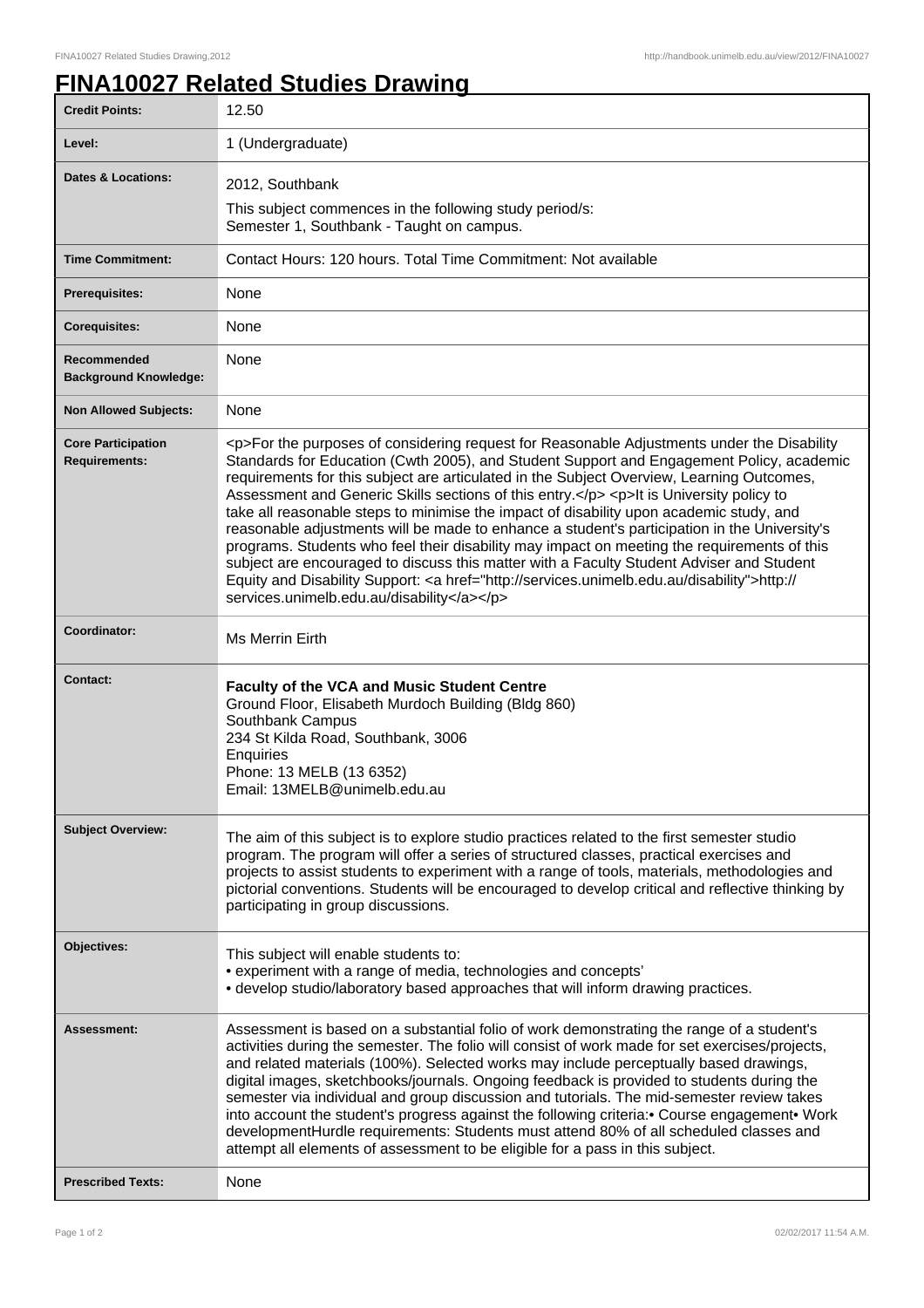## **FINA10027 Related Studies Drawing**

| <b>Credit Points:</b>                             | 12.50                                                                                                                                                                                                                                                                                                                                                                                                                                                                                                                                                                                                                                                                                                                                                                                                                                                                                                                        |
|---------------------------------------------------|------------------------------------------------------------------------------------------------------------------------------------------------------------------------------------------------------------------------------------------------------------------------------------------------------------------------------------------------------------------------------------------------------------------------------------------------------------------------------------------------------------------------------------------------------------------------------------------------------------------------------------------------------------------------------------------------------------------------------------------------------------------------------------------------------------------------------------------------------------------------------------------------------------------------------|
| Level:                                            | 1 (Undergraduate)                                                                                                                                                                                                                                                                                                                                                                                                                                                                                                                                                                                                                                                                                                                                                                                                                                                                                                            |
| Dates & Locations:                                | 2012, Southbank<br>This subject commences in the following study period/s:<br>Semester 1, Southbank - Taught on campus.                                                                                                                                                                                                                                                                                                                                                                                                                                                                                                                                                                                                                                                                                                                                                                                                      |
| <b>Time Commitment:</b>                           | Contact Hours: 120 hours. Total Time Commitment: Not available                                                                                                                                                                                                                                                                                                                                                                                                                                                                                                                                                                                                                                                                                                                                                                                                                                                               |
| <b>Prerequisites:</b>                             | None                                                                                                                                                                                                                                                                                                                                                                                                                                                                                                                                                                                                                                                                                                                                                                                                                                                                                                                         |
| <b>Corequisites:</b>                              | None                                                                                                                                                                                                                                                                                                                                                                                                                                                                                                                                                                                                                                                                                                                                                                                                                                                                                                                         |
| Recommended<br><b>Background Knowledge:</b>       | None                                                                                                                                                                                                                                                                                                                                                                                                                                                                                                                                                                                                                                                                                                                                                                                                                                                                                                                         |
| <b>Non Allowed Subjects:</b>                      | None                                                                                                                                                                                                                                                                                                                                                                                                                                                                                                                                                                                                                                                                                                                                                                                                                                                                                                                         |
| <b>Core Participation</b><br><b>Requirements:</b> | <p>For the purposes of considering request for Reasonable Adjustments under the Disability<br/>Standards for Education (Cwth 2005), and Student Support and Engagement Policy, academic<br/>requirements for this subject are articulated in the Subject Overview, Learning Outcomes,<br/>Assessment and Generic Skills sections of this entry.</p> <p>lt is University policy to<br/>take all reasonable steps to minimise the impact of disability upon academic study, and<br/>reasonable adjustments will be made to enhance a student's participation in the University's<br/>programs. Students who feel their disability may impact on meeting the requirements of this<br/>subject are encouraged to discuss this matter with a Faculty Student Adviser and Student<br/>Equity and Disability Support: &lt; a href="http://services.unimelb.edu.au/disability"&gt;http://<br/>services.unimelb.edu.au/disability</p> |
| Coordinator:                                      | <b>Ms Merrin Eirth</b>                                                                                                                                                                                                                                                                                                                                                                                                                                                                                                                                                                                                                                                                                                                                                                                                                                                                                                       |
| <b>Contact:</b>                                   | <b>Faculty of the VCA and Music Student Centre</b><br>Ground Floor, Elisabeth Murdoch Building (Bldg 860)<br>Southbank Campus<br>234 St Kilda Road, Southbank, 3006<br>Enquiries<br>Phone: 13 MELB (13 6352)<br>Email: 13MELB@unimelb.edu.au                                                                                                                                                                                                                                                                                                                                                                                                                                                                                                                                                                                                                                                                                 |
| <b>Subject Overview:</b>                          | The aim of this subject is to explore studio practices related to the first semester studio<br>program. The program will offer a series of structured classes, practical exercises and<br>projects to assist students to experiment with a range of tools, materials, methodologies and<br>pictorial conventions. Students will be encouraged to develop critical and reflective thinking by<br>participating in group discussions.                                                                                                                                                                                                                                                                                                                                                                                                                                                                                          |
| Objectives:                                       | This subject will enable students to:<br>• experiment with a range of media, technologies and concepts'<br>• develop studio/laboratory based approaches that will inform drawing practices.                                                                                                                                                                                                                                                                                                                                                                                                                                                                                                                                                                                                                                                                                                                                  |
| Assessment:                                       | Assessment is based on a substantial folio of work demonstrating the range of a student's<br>activities during the semester. The folio will consist of work made for set exercises/projects,<br>and related materials (100%). Selected works may include perceptually based drawings,<br>digital images, sketchbooks/journals. Ongoing feedback is provided to students during the<br>semester via individual and group discussion and tutorials. The mid-semester review takes<br>into account the student's progress against the following criteria: Course engagement Work<br>developmentHurdle requirements: Students must attend 80% of all scheduled classes and<br>attempt all elements of assessment to be eligible for a pass in this subject.                                                                                                                                                                      |
| <b>Prescribed Texts:</b>                          | None                                                                                                                                                                                                                                                                                                                                                                                                                                                                                                                                                                                                                                                                                                                                                                                                                                                                                                                         |